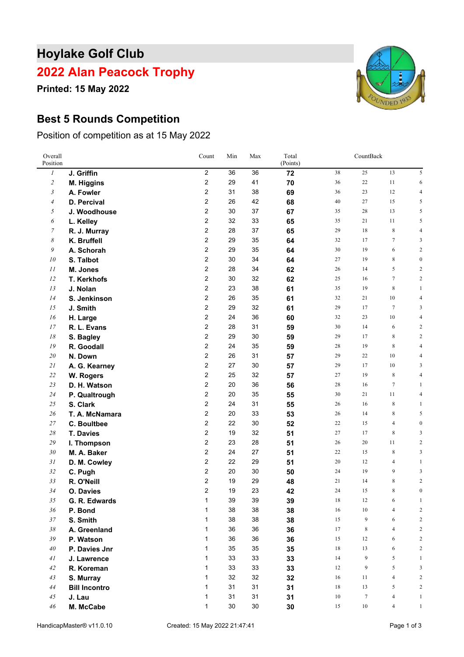# **Hoylake Golf Club**

### **Alan Peacock Trophy**

**Printed: 15 May 2022**

### **Best 5 Rounds Competition**

Position of competition as at 15 May 2022

| Overall<br>Position |                      | Count                   | Min | Max | Total<br>(Points) | CountBack |                  |                |                         |
|---------------------|----------------------|-------------------------|-----|-----|-------------------|-----------|------------------|----------------|-------------------------|
| 1                   | J. Griffin           | $\overline{2}$          | 36  | 36  | 72                | 38        | 25               | 13             | 5                       |
| $\overline{c}$      | M. Higgins           | $\overline{2}$          | 29  | 41  | 70                | 36        | 22               | 11             | 6                       |
| $\mathfrak{Z}$      | A. Fowler            | $\overline{2}$          | 31  | 38  | 69                | 36        | 23               | 12             | 4                       |
| $\overline{4}$      | D. Percival          | $\overline{2}$          | 26  | 42  | 68                | 40        | 27               | 15             | 5                       |
| 5                   | J. Woodhouse         | $\overline{2}$          | 30  | 37  | 67                | 35        | 28               | 13             | 5                       |
| 6                   | L. Kelley            | $\overline{2}$          | 32  | 33  | 65                | 35        | 21               | 11             | 5                       |
| 7                   | R. J. Murray         | $\overline{2}$          | 28  | 37  | 65                | 29        | 18               | 8              | 4                       |
| 8                   | K. Bruffell          | $\overline{2}$          | 29  | 35  | 64                | 32        | 17               | $\tau$         | 3                       |
| 9                   | A. Schorah           | $\overline{2}$          | 29  | 35  | 64                | 30        | 19               | 6              | 2                       |
| 10                  | S. Talbot            | $\overline{2}$          | 30  | 34  | 64                | 27        | 19               | 8              | $\mathbf{0}$            |
| 11                  | M. Jones             | $\overline{2}$          | 28  | 34  | 62                | 26        | 14               | 5              | $\overline{\mathbf{c}}$ |
| 12                  | T. Kerkhofs          | $\overline{2}$          | 30  | 32  | 62                | 25        | 16               | $\tau$         | $\overline{c}$          |
| 13                  | J. Nolan             | $\overline{2}$          | 23  | 38  | 61                | 35        | 19               | 8              | 1                       |
| 14                  | S. Jenkinson         | $\overline{2}$          | 26  | 35  | 61                | 32        | 21               | 10             | $\overline{4}$          |
| 15                  | J. Smith             | $\overline{2}$          | 29  | 32  | 61                | 29        | 17               | $\tau$         | 3                       |
| 16                  | H. Large             | $\overline{2}$          | 24  | 36  | 60                | 32        | 23               | 10             | $\overline{4}$          |
| 17                  | R. L. Evans          | $\overline{\mathbf{c}}$ | 28  | 31  | 59                | 30        | 14               | 6              | 2                       |
| 18                  | S. Bagley            | $\sqrt{2}$              | 29  | 30  | 59                | 29        | 17               | 8              | 2                       |
| 19                  | R. Goodall           | $\overline{2}$          | 24  | 35  | 59                | 28        | 19               | 8              | $\overline{4}$          |
| 20                  | N. Down              | $\overline{2}$          | 26  | 31  | 57                | 29        | 22               | 10             | 4                       |
| 21                  | A. G. Kearney        | $\overline{2}$          | 27  | 30  | 57                | 29        | 17               | 10             | 3                       |
| 22                  | W. Rogers            | $\overline{2}$          | 25  | 32  | 57                | 27        | 19               | 8              | $\overline{4}$          |
| 23                  | D. H. Watson         | $\overline{2}$          | 20  | 36  | 56                | 28        | 16               | $\tau$         | 1                       |
| 24                  | P. Qualtrough        | $\sqrt{2}$              | 20  | 35  | 55                | 30        | 21               | 11             | 4                       |
| 25                  | S. Clark             | $\sqrt{2}$              | 24  | 31  | 55                | 26        | 16               | 8              | 1                       |
| 26                  | T. A. McNamara       | $\overline{2}$          | 20  | 33  | 53                | 26        | 14               | 8              | 5                       |
| 27                  | C. Boultbee          | $\overline{2}$          | 22  | 30  | 52                | $22\,$    | 15               | $\overline{4}$ | $\boldsymbol{0}$        |
| $28\,$              | <b>T. Davies</b>     | $\overline{2}$          | 19  | 32  | 51                | 27        | 17               | 8              | 3                       |
| 29                  | I. Thompson          | $\overline{2}$          | 23  | 28  | 51                | 26        | 20               | 11             | $\overline{c}$          |
| 30                  | M. A. Baker          | $\overline{2}$          | 24  | 27  | 51                | 22        | 15               | 8              | 3                       |
| 31                  | D. M. Cowley         | $\overline{2}$          | 22  | 29  | 51                | 20        | 12               | 4              | $\mathbf{1}$            |
| 32                  | C. Pugh              | $\overline{2}$          | 20  | 30  | 50                | 24        | 19               | 9              | 3                       |
| 33                  | R. O'Neill           | 2                       | 19  | 29  | 48                | 21        | 14               | 8              | $\overline{2}$          |
| 34                  | O. Davies            | 2                       | 19  | 23  | 42                | 24        | 15               | 8              | $\boldsymbol{0}$        |
| $35\,$              | G. R. Edwards        | 1                       | 39  | 39  | 39                | 18        | 12               | 6              |                         |
| 36                  | P. Bond              | 1                       | 38  | 38  | 38                | 16        | 10               | $\overline{4}$ | $\overline{2}$          |
| 37                  | S. Smith             | $\mathbf{1}$            | 38  | 38  | 38                | 15        | 9                | 6              | $\overline{c}$          |
| 38                  | A. Greenland         | 1                       | 36  | 36  | 36                | 17        | 8                | $\overline{4}$ | $\overline{c}$          |
| 39                  | P. Watson            | 1                       | 36  | 36  | 36                | 15        | 12               | 6              | 2                       |
| 40                  | P. Davies Jnr        | 1                       | 35  | 35  | 35                | 18        | 13               | 6              | $\overline{\mathbf{c}}$ |
| 41                  | J. Lawrence          | $\mathbf{1}$            | 33  | 33  | 33                | 14        | 9                | 5              | 1                       |
| 42                  | R. Koreman           | 1                       | 33  | 33  | 33                | 12        | 9                | 5              | 3                       |
| 43                  | S. Murray            | $\mathbf{1}$            | 32  | 32  | 32                | 16        | $11\,$           | $\overline{4}$ | 2                       |
| 44                  | <b>Bill Incontro</b> | 1                       | 31  | 31  | 31                | $18\,$    | 13               | 5              | $\overline{\mathbf{c}}$ |
| 45                  | J. Lau               | 1                       | 31  | 31  | 31                | $10\,$    | $\boldsymbol{7}$ | $\overline{4}$ | $\mathbf{1}$            |
| 46                  | M. McCabe            | $\mathbf{1}$            | 30  | 30  | 30                | 15        | $10\,$           | $\overline{4}$ | $\mathbf{1}$            |

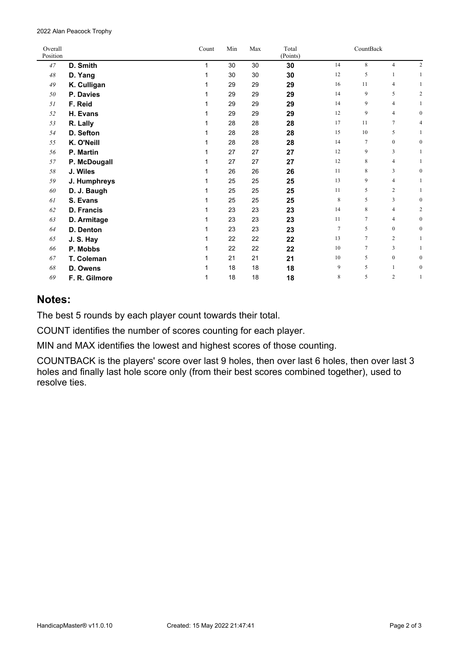Alan Peacock Trophy

| Overall<br>Position |               | Count | Min | Max | Total<br>(Points) | CountBack |                 |                  |                  |
|---------------------|---------------|-------|-----|-----|-------------------|-----------|-----------------|------------------|------------------|
| 47                  | D. Smith      | 1     | 30  | 30  | 30                | 14        | 8               | $\overline{4}$   | $\overline{c}$   |
| 48                  | D. Yang       | 1     | 30  | 30  | 30                | 12        | 5               | $\mathbf{1}$     | $\mathbf{1}$     |
| 49                  | K. Culligan   | 1     | 29  | 29  | 29                | 16        | 11              | $\overline{4}$   | 1                |
| 50                  | P. Davies     | 1     | 29  | 29  | 29                | 14        | 9               | 5                | $\overline{c}$   |
| 51                  | F. Reid       | 1     | 29  | 29  | 29                | 14        | 9               | 4                | $\mathbf{1}$     |
| 52                  | H. Evans      | 1     | 29  | 29  | 29                | 12        | 9               | $\overline{4}$   | $\bf{0}$         |
| 53                  | R. Lally      | 1     | 28  | 28  | 28                | 17        | 11              | 7                | 4                |
| 54                  | D. Sefton     | 1     | 28  | 28  | 28                | 15        | 10              | 5                | 1                |
| 55                  | K. O'Neill    | 1     | 28  | 28  | 28                | 14        | $\tau$          | $\boldsymbol{0}$ | $\bf{0}$         |
| 56                  | P. Martin     | 1     | 27  | 27  | 27                | 12        | 9               | 3                | $\mathbf{1}$     |
| 57                  | P. McDougall  | 1     | 27  | 27  | 27                | 12        | 8               | $\overline{4}$   | 1                |
| 58                  | J. Wiles      | 1     | 26  | 26  | 26                | 11        | 8               | 3                | $\bf{0}$         |
| 59                  | J. Humphreys  | 1     | 25  | 25  | 25                | 13        | 9               | $\overline{4}$   | 1                |
| 60                  | D. J. Baugh   | 1     | 25  | 25  | 25                | 11        | 5               | $\overline{c}$   | $\mathbf{1}$     |
| 61                  | S. Evans      | 1     | 25  | 25  | 25                | 8         | 5               | 3                | $\bf{0}$         |
| 62                  | D. Francis    | 1     | 23  | 23  | 23                | 14        | 8               | 4                | 2                |
| 63                  | D. Armitage   | 1     | 23  | 23  | 23                | 11        | $7\phantom{.0}$ | $\overline{4}$   | $\bf{0}$         |
| 64                  | D. Denton     | 1     | 23  | 23  | 23                | $\tau$    | 5               | $\mathbf{0}$     | $\bf{0}$         |
| 65                  | J.S. Hay      | 1     | 22  | 22  | 22                | 13        | $\tau$          | $\overline{c}$   | 1                |
| 66                  | P. Mobbs      | 1     | 22  | 22  | 22                | 10        | $\tau$          | 3                | 1                |
| 67                  | T. Coleman    | 1     | 21  | 21  | 21                | 10        | 5               | $\boldsymbol{0}$ | $\bf{0}$         |
| 68                  | D. Owens      | 1     | 18  | 18  | 18                | 9         | 5               | 1                | $\boldsymbol{0}$ |
| 69                  | F. R. Gilmore | 1     | 18  | 18  | 18                | 8         | 5               | $\overline{c}$   | 1                |

#### **Notes:**

The best 5 rounds by each player count towards their total.

COUNT identifies the number of scores counting for each player.

MIN and MAX identifies the lowest and highest scores of those counting.

COUNTBACK is the players' score over last 9 holes, then over last 6 holes, then over last 3 holes and finally last hole score only (from their best scores combined together), used to resolve ties.